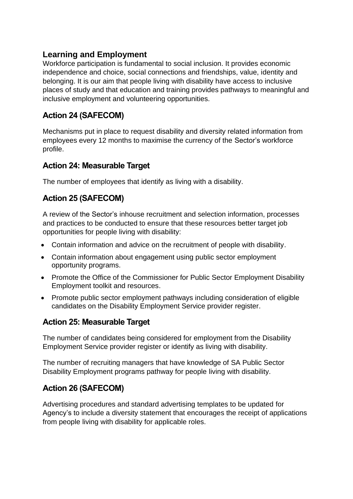## **Learning and Employment**

Workforce participation is fundamental to social inclusion. It provides economic independence and choice, social connections and friendships, value, identity and belonging. It is our aim that people living with disability have access to inclusive places of study and that education and training provides pathways to meaningful and inclusive employment and volunteering opportunities.

# **Action 24 (SAFECOM)**

Mechanisms put in place to request disability and diversity related information from employees every 12 months to maximise the currency of the Sector's workforce profile.

#### **Action 24: Measurable Target**

The number of employees that identify as living with a disability.

## **Action 25 (SAFECOM)**

A review of the Sector's inhouse recruitment and selection information, processes and practices to be conducted to ensure that these resources better target job opportunities for people living with disability:

- Contain information and advice on the recruitment of people with disability.
- Contain information about engagement using public sector employment opportunity programs.
- Promote the Office of the Commissioner for Public Sector Employment Disability Employment toolkit and resources.
- Promote public sector employment pathways including consideration of eligible candidates on the Disability Employment Service provider register.

## **Action 25: Measurable Target**

The number of candidates being considered for employment from the Disability Employment Service provider register or identify as living with disability.

The number of recruiting managers that have knowledge of SA Public Sector Disability Employment programs pathway for people living with disability.

## **Action 26 (SAFECOM)**

Advertising procedures and standard advertising templates to be updated for Agency's to include a diversity statement that encourages the receipt of applications from people living with disability for applicable roles.